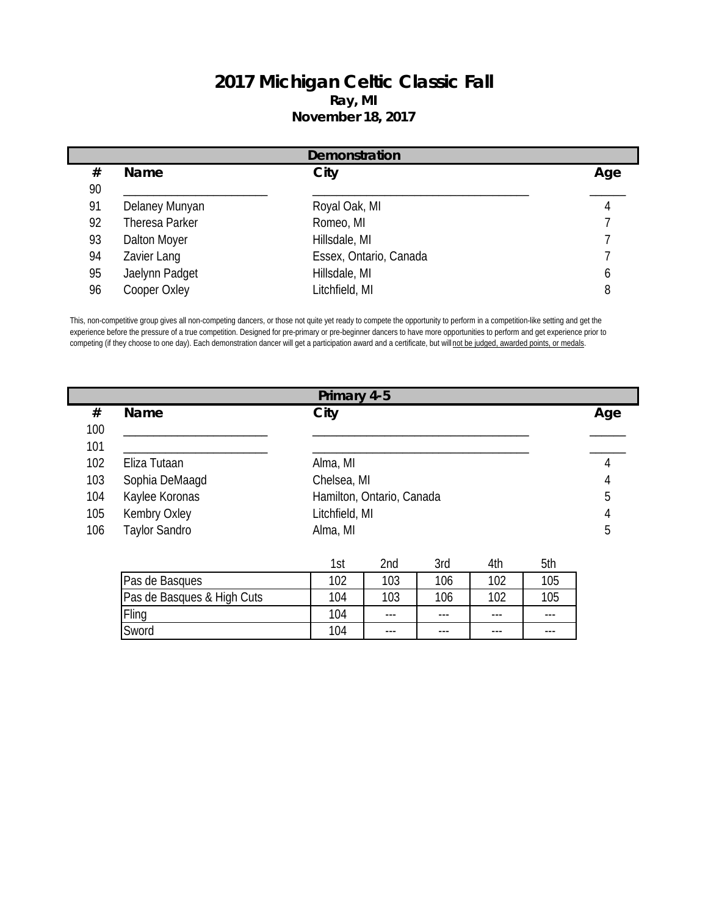## **2017 Michigan Celtic Classic Fall Ray, MI November 18, 2017**

|    | Demonstration  |                        |     |  |  |  |
|----|----------------|------------------------|-----|--|--|--|
| #  | Name           | City                   | Age |  |  |  |
| 90 |                |                        |     |  |  |  |
| 91 | Delaney Munyan | Royal Oak, MI          |     |  |  |  |
| 92 | Theresa Parker | Romeo, MI              |     |  |  |  |
| 93 | Dalton Moyer   | Hillsdale, MI          |     |  |  |  |
| 94 | Zavier Lang    | Essex, Ontario, Canada |     |  |  |  |
| 95 | Jaelynn Padget | Hillsdale, MI          | b   |  |  |  |
| 96 | Cooper Oxley   | Litchfield, MI         | 8   |  |  |  |

This, non-competitive group gives all non-competing dancers, or those not quite yet ready to compete the opportunity to perform in a competition-like setting and get the experience before the pressure of a true competition. Designed for pre-primary or pre-beginner dancers to have more opportunities to perform and get experience prior to competing (if they choose to one day). Each demonstration dancer will get a participation award and a certificate, but will not be judged, awarded points, or medals.

| Primary 4-5 |                      |                           |     |  |  |
|-------------|----------------------|---------------------------|-----|--|--|
| #           | Name                 | City                      | Age |  |  |
| 100         |                      |                           |     |  |  |
| 101         |                      |                           |     |  |  |
| 102         | Eliza Tutaan         | Alma, MI                  |     |  |  |
| 103         | Sophia DeMaagd       | Chelsea, MI               |     |  |  |
| 104         | Kaylee Koronas       | Hamilton, Ontario, Canada | 5   |  |  |
| 105         | Kembry Oxley         | Litchfield, MI            |     |  |  |
| 106         | <b>Taylor Sandro</b> | Alma, MI                  | b   |  |  |
|             |                      |                           |     |  |  |

|                            | 1st | 2 <sub>nd</sub> | 3rd     | 4th   | 5th     |
|----------------------------|-----|-----------------|---------|-------|---------|
| Pas de Basques             | 102 | 103             | 106     | 102   | 105     |
| Pas de Basques & High Cuts | 104 | 103             | 106     | 102   | 105     |
| Fling                      | 104 | $---$           | $- - -$ | $---$ | $- - -$ |
| Sword                      | 104 | ---             | $- - -$ | $--$  | $- - -$ |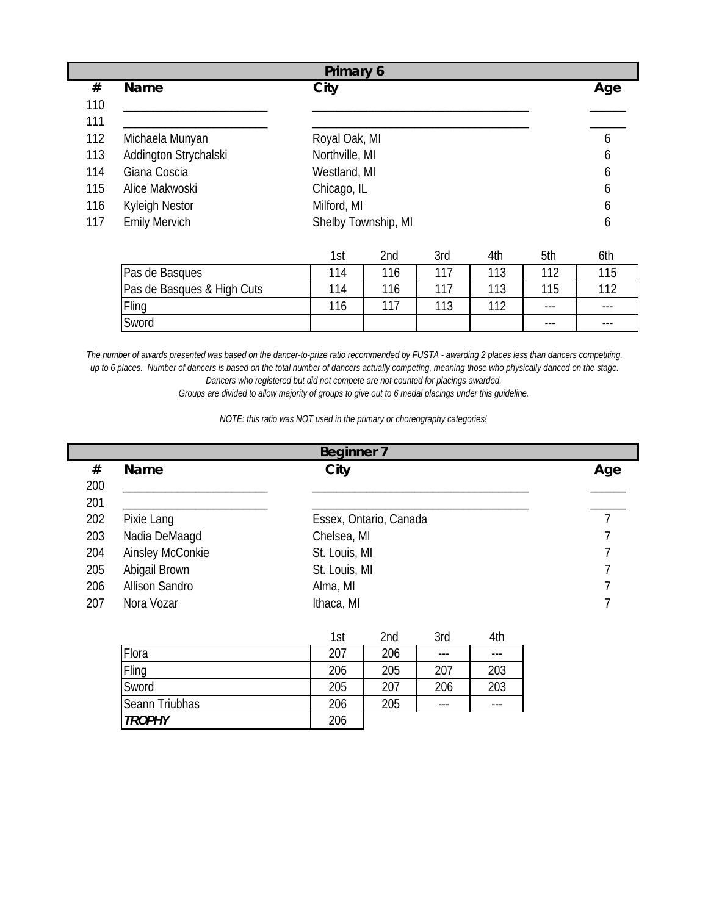|     | Primary 6             |                     |     |  |  |  |
|-----|-----------------------|---------------------|-----|--|--|--|
| #   | Name                  | City                | Age |  |  |  |
| 110 |                       |                     |     |  |  |  |
| 111 |                       |                     |     |  |  |  |
| 112 | Michaela Munyan       | Royal Oak, MI       | O   |  |  |  |
| 113 | Addington Strychalski | Northville, MI      | 6   |  |  |  |
| 114 | Giana Coscia          | Westland, MI        | b   |  |  |  |
| 115 | Alice Makwoski        | Chicago, IL         | b   |  |  |  |
| 116 | Kyleigh Nestor        | Milford, MI         | O   |  |  |  |
| 117 | <b>Emily Mervich</b>  | Shelby Township, MI | b   |  |  |  |

|                            | 1st | 2nd | 3rd | 4th | 5th   | 6th   |
|----------------------------|-----|-----|-----|-----|-------|-------|
| Pas de Basques             | 114 | 116 | 117 | 113 | 112   | 115   |
| Pas de Basques & High Cuts | 114 | 116 | 117 | 113 | 115   | 112   |
| Fling                      | 116 | 117 | 113 | 110 | $---$ | $---$ |
| Sword                      |     |     |     |     | $---$ | $---$ |

*The number of awards presented was based on the dancer-to-prize ratio recommended by FUSTA - awarding 2 places less than dancers competiting, up to 6 places. Number of dancers is based on the total number of dancers actually competing, meaning those who physically danced on the stage. Dancers who registered but did not compete are not counted for placings awarded.* 

*Groups are divided to allow majority of groups to give out to 6 medal placings under this guideline.*

*NOTE: this ratio was NOT used in the primary or choreography categories!*

|     | <b>Beginner 7</b>     |                                                         |     |  |  |  |
|-----|-----------------------|---------------------------------------------------------|-----|--|--|--|
| #   | Name                  | City                                                    | Age |  |  |  |
| 200 |                       |                                                         |     |  |  |  |
| 201 |                       |                                                         |     |  |  |  |
| 202 | Pixie Lang            | Essex, Ontario, Canada                                  |     |  |  |  |
| 203 | Nadia DeMaaqd         | Chelsea, MI                                             |     |  |  |  |
| 204 | Ainsley McConkie      | St. Louis, MI                                           |     |  |  |  |
| 205 | Abigail Brown         | St. Louis, MI                                           |     |  |  |  |
| 206 | <b>Allison Sandro</b> | Alma, MI                                                |     |  |  |  |
| 207 | Nora Vozar            | Ithaca, MI                                              |     |  |  |  |
|     |                       | 2rd<br>4 <sup>th</sup><br><b>Ond</b><br>1 <sub>ct</sub> |     |  |  |  |

|                | 1st | 2nd | 3rd     | 4th |
|----------------|-----|-----|---------|-----|
| Flora          | 207 | 206 | ---     | --- |
| Fling          | 206 | 205 | 207     | 203 |
| Sword          | 205 | 207 | 206     | 203 |
| Seann Triubhas | 206 | 205 | $- - -$ | --- |
| <b>TROPHY</b>  | 206 |     |         |     |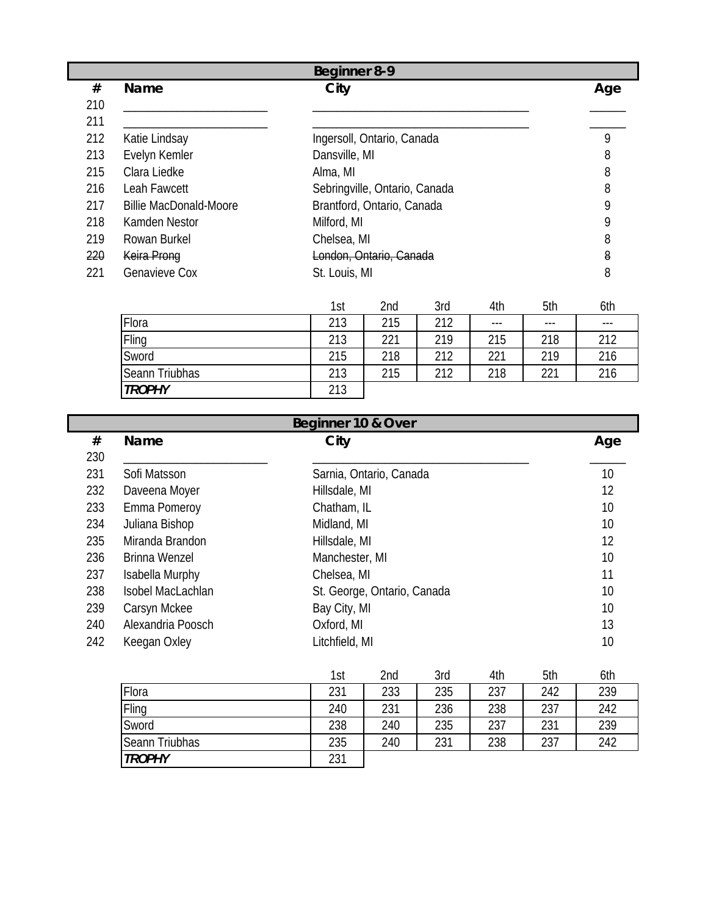|     | <b>Beginner 8-9</b>           |                               |     |  |  |  |
|-----|-------------------------------|-------------------------------|-----|--|--|--|
| #   | <b>Name</b>                   | City                          | Age |  |  |  |
| 210 |                               |                               |     |  |  |  |
| 211 |                               |                               |     |  |  |  |
| 212 | Katie Lindsay                 | Ingersoll, Ontario, Canada    | 9   |  |  |  |
| 213 | Evelyn Kemler                 | Dansville, MI                 | 8   |  |  |  |
| 215 | Clara Liedke                  | Alma, MI                      | 8   |  |  |  |
| 216 | Leah Fawcett                  | Sebringville, Ontario, Canada | 8   |  |  |  |
| 217 | <b>Billie MacDonald-Moore</b> | Brantford, Ontario, Canada    | 9   |  |  |  |
| 218 | Kamden Nestor                 | Milford, MI                   | 9   |  |  |  |
| 219 | Rowan Burkel                  | Chelsea, MI                   | 8   |  |  |  |
| 220 | Keira Prong                   | London, Ontario, Canada       | 8   |  |  |  |
| 221 | <b>Genavieve Cox</b>          | St. Louis, MI                 | 8   |  |  |  |

|                | 1st | 2nd | 3rd | 4th   | 5th   | 6th   |
|----------------|-----|-----|-----|-------|-------|-------|
| Flora          | 213 | 215 | 212 | $---$ | $---$ | $---$ |
| Fling          | 213 | 221 | 219 | 215   | 218   | 212   |
| Sword          | 215 | 218 | 212 | 221   | 219   | 216   |
| Seann Triubhas | 213 | 215 | 212 | 218   | 221   | 216   |
| <b>TROPHY</b>  | 213 |     |     |       |       |       |

| Beginner 10 & Over |                   |                             |     |  |  |
|--------------------|-------------------|-----------------------------|-----|--|--|
| #                  | Name              | City                        | Age |  |  |
| 230                |                   |                             |     |  |  |
| 231                | Sofi Matsson      | Sarnia, Ontario, Canada     | 10  |  |  |
| 232                | Daveena Moyer     | Hillsdale, MI               | 12  |  |  |
| 233                | Emma Pomeroy      | Chatham, IL                 | 10  |  |  |
| 234                | Juliana Bishop    | Midland, MI                 | 10  |  |  |
| 235                | Miranda Brandon   | Hillsdale, MI               | 12  |  |  |
| 236                | Brinna Wenzel     | Manchester, MI              | 10  |  |  |
| 237                | Isabella Murphy   | Chelsea, MI                 | 11  |  |  |
| 238                | Isobel MacLachlan | St. George, Ontario, Canada | 10  |  |  |
| 239                | Carsyn Mckee      | Bay City, MI                | 10  |  |  |
| 240                | Alexandria Poosch | Oxford, MI                  | 13  |  |  |
| 242                | Keegan Oxley      | Litchfield, MI              | 10  |  |  |

|                | 1st | 2nd | 3rd | 4th | 5th | 6th |
|----------------|-----|-----|-----|-----|-----|-----|
| Flora          | 231 | 233 | 235 | 237 | 242 | 239 |
| Fling          | 240 | 231 | 236 | 238 | 237 | 242 |
| Sword          | 238 | 240 | 235 | 237 | 231 | 239 |
| Seann Triubhas | 235 | 240 | 231 | 238 | 237 | 242 |
| <b>TROPHY</b>  | 231 |     |     |     |     |     |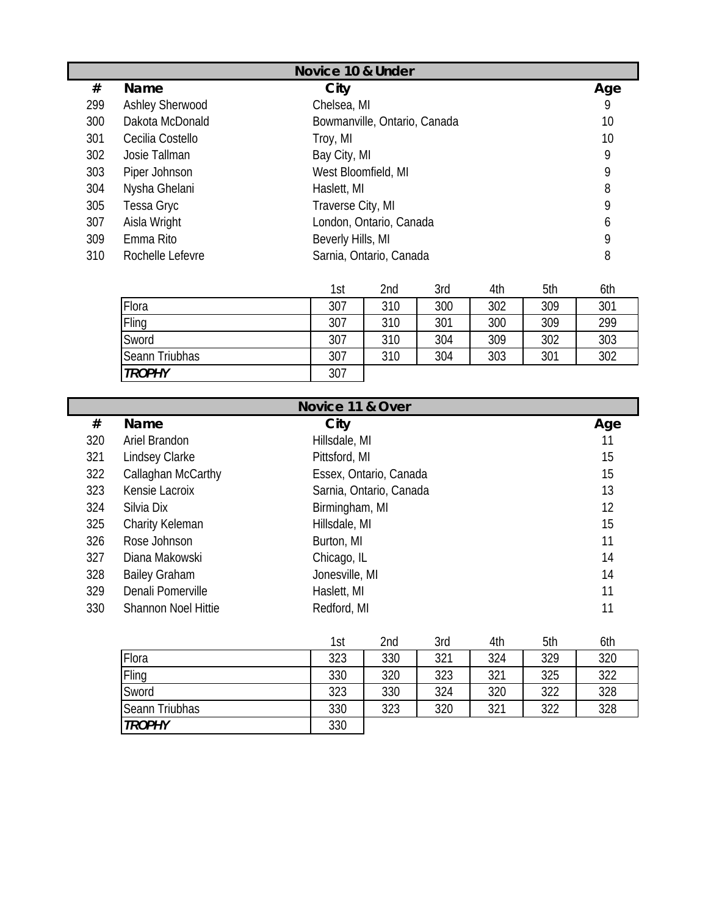|     | Novice 10 & Under      |                              |     |  |  |  |
|-----|------------------------|------------------------------|-----|--|--|--|
| #   | <b>Name</b>            | City                         | Age |  |  |  |
| 299 | <b>Ashley Sherwood</b> | Chelsea, MI                  | 9   |  |  |  |
| 300 | Dakota McDonald        | Bowmanville, Ontario, Canada | 10  |  |  |  |
| 301 | Cecilia Costello       | Troy, MI                     | 10  |  |  |  |
| 302 | Josie Tallman          | Bay City, MI                 | 9   |  |  |  |
| 303 | Piper Johnson          | West Bloomfield, MI          | 9   |  |  |  |
| 304 | Nysha Ghelani          | Haslett, MI                  | 8   |  |  |  |
| 305 | Tessa Gryc             | Traverse City, MI            | 9   |  |  |  |
| 307 | Aisla Wright           | London, Ontario, Canada      | O   |  |  |  |
| 309 | Emma Rito              | Beverly Hills, MI            | 9   |  |  |  |
| 310 | Rochelle Lefevre       | Sarnia, Ontario, Canada      | 8   |  |  |  |

|                | 1st | 2nd | 3rd | 4th | 5th | 6th |
|----------------|-----|-----|-----|-----|-----|-----|
| Flora          | 307 | 310 | 300 | 302 | 309 | 301 |
| Fling          | 307 | 310 | 301 | 300 | 309 | 299 |
| Sword          | 307 | 310 | 304 | 309 | 302 | 303 |
| Seann Triubhas | 307 | 310 | 304 | 303 | 301 | 302 |
| <b>TROPHY</b>  | 307 |     |     |     |     |     |

|     | Novice 11 & Over           |                         |     |  |  |  |  |  |
|-----|----------------------------|-------------------------|-----|--|--|--|--|--|
| #   | <b>Name</b>                | City                    | Age |  |  |  |  |  |
| 320 | Ariel Brandon              | Hillsdale, MI           | 11  |  |  |  |  |  |
| 321 | Lindsey Clarke             | Pittsford, MI           | 15  |  |  |  |  |  |
| 322 | Callaghan McCarthy         | Essex, Ontario, Canada  | 15  |  |  |  |  |  |
| 323 | Kensie Lacroix             | Sarnia, Ontario, Canada | 13  |  |  |  |  |  |
| 324 | Silvia Dix                 | Birmingham, MI          | 12  |  |  |  |  |  |
| 325 | Charity Keleman            | Hillsdale, MI           | 15  |  |  |  |  |  |
| 326 | Rose Johnson               | Burton, MI              | 11  |  |  |  |  |  |
| 327 | Diana Makowski             | Chicago, IL             | 14  |  |  |  |  |  |
| 328 | <b>Bailey Graham</b>       | Jonesville, MI          | 14  |  |  |  |  |  |
| 329 | Denali Pomerville          | Haslett, MI             | 11  |  |  |  |  |  |
| 330 | <b>Shannon Noel Hittie</b> | Redford, MI             | 11  |  |  |  |  |  |

|                | 1st | 2nd | 3rd | 4th | 5th | 6th |
|----------------|-----|-----|-----|-----|-----|-----|
| Flora          | 323 | 330 | 321 | 324 | 329 | 320 |
| Fling          | 330 | 320 | 323 | 321 | 325 | 322 |
| Sword          | 323 | 330 | 324 | 320 | 322 | 328 |
| Seann Triubhas | 330 | 323 | 320 | 321 | 322 | 328 |
| <b>TROPHY</b>  | 330 |     |     |     |     |     |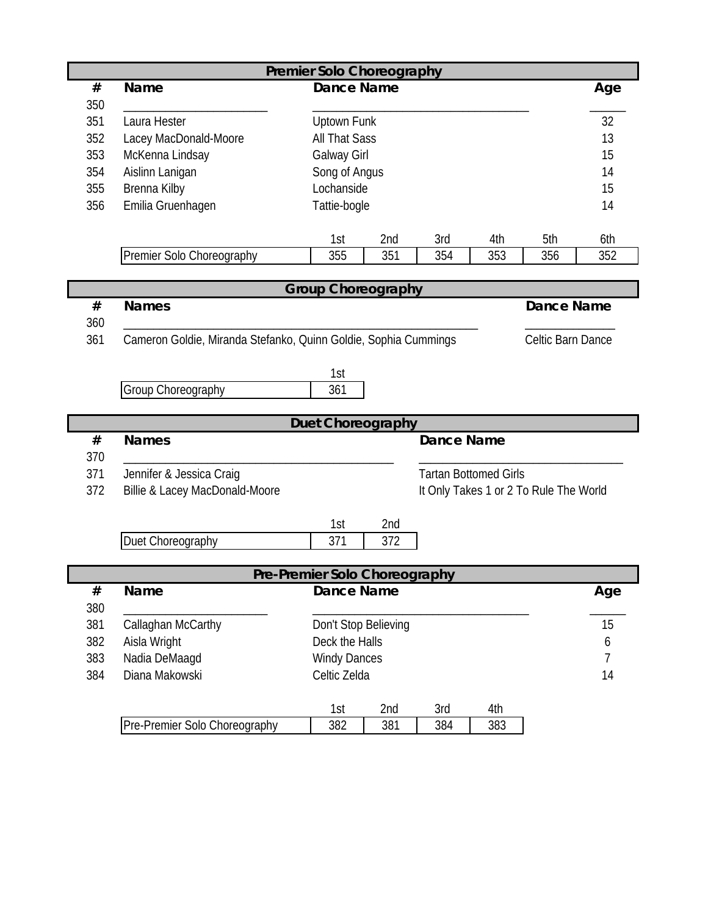| <b>Premier Solo Choreography</b> |                                                                 |                               |            |                              |            |                                        |     |  |  |
|----------------------------------|-----------------------------------------------------------------|-------------------------------|------------|------------------------------|------------|----------------------------------------|-----|--|--|
| $\#$                             | Name                                                            | <b>Dance Name</b>             |            |                              |            |                                        | Age |  |  |
| 350                              |                                                                 |                               |            |                              |            |                                        |     |  |  |
| 351                              | Laura Hester                                                    | Uptown Funk                   | 32         |                              |            |                                        |     |  |  |
| 352                              | Lacey MacDonald-Moore                                           | <b>All That Sass</b>          |            |                              |            |                                        | 13  |  |  |
| 353                              | McKenna Lindsay                                                 | <b>Galway Girl</b>            |            |                              |            |                                        | 15  |  |  |
| 354                              | Aislinn Lanigan                                                 | Song of Angus                 |            |                              |            |                                        | 14  |  |  |
| 355                              | Brenna Kilby                                                    | Lochanside                    |            |                              |            |                                        | 15  |  |  |
| 356                              | Emilia Gruenhagen                                               | Tattie-bogle                  |            |                              |            |                                        | 14  |  |  |
|                                  |                                                                 |                               |            |                              |            |                                        |     |  |  |
|                                  |                                                                 | 1st                           | 2nd        | 3rd                          | 4th        | 5th                                    | 6th |  |  |
|                                  | Premier Solo Choreography                                       | 355                           | 351        | 354                          | 353        | 356                                    | 352 |  |  |
|                                  |                                                                 |                               |            |                              |            |                                        |     |  |  |
|                                  |                                                                 | <b>Group Choreography</b>     |            |                              |            |                                        |     |  |  |
| $\#$<br>360                      | <b>Names</b>                                                    |                               |            |                              |            | <b>Dance Name</b>                      |     |  |  |
| 361                              | Cameron Goldie, Miranda Stefanko, Quinn Goldie, Sophia Cummings |                               |            |                              |            | Celtic Barn Dance                      |     |  |  |
|                                  |                                                                 |                               |            |                              |            |                                        |     |  |  |
|                                  |                                                                 | 1st                           |            |                              |            |                                        |     |  |  |
|                                  | Group Choreography                                              | 361                           |            |                              |            |                                        |     |  |  |
|                                  |                                                                 |                               |            |                              |            |                                        |     |  |  |
| <b>Duet Choreography</b>         |                                                                 |                               |            |                              |            |                                        |     |  |  |
|                                  |                                                                 |                               |            |                              |            |                                        |     |  |  |
| $\#$                             | <b>Names</b>                                                    |                               |            | <b>Dance Name</b>            |            |                                        |     |  |  |
| 370                              |                                                                 |                               |            |                              |            |                                        |     |  |  |
| 371                              | Jennifer & Jessica Craig                                        |                               |            | <b>Tartan Bottomed Girls</b> |            |                                        |     |  |  |
| 372                              | Billie & Lacey MacDonald-Moore                                  |                               |            |                              |            | It Only Takes 1 or 2 To Rule The World |     |  |  |
|                                  |                                                                 |                               |            |                              |            |                                        |     |  |  |
|                                  |                                                                 | 1st                           | 2nd        |                              |            |                                        |     |  |  |
|                                  | Duet Choreography                                               | 371                           | 372        |                              |            |                                        |     |  |  |
|                                  |                                                                 |                               |            |                              |            |                                        |     |  |  |
|                                  |                                                                 | Pre-Premier Solo Choreography |            |                              |            |                                        |     |  |  |
| $\#$                             | Name                                                            | <b>Dance Name</b>             |            |                              |            |                                        | Age |  |  |
| 380                              |                                                                 |                               |            |                              |            |                                        |     |  |  |
| 381                              | Callaghan McCarthy                                              | Don't Stop Believing          |            |                              |            |                                        | 15  |  |  |
| 382                              | Aisla Wright                                                    | Deck the Halls                |            |                              |            |                                        | 6   |  |  |
| 383                              | Nadia DeMaagd                                                   | <b>Windy Dances</b>           |            |                              |            |                                        | 7   |  |  |
| 384                              | Diana Makowski                                                  | Celtic Zelda                  |            |                              |            |                                        | 14  |  |  |
|                                  |                                                                 |                               |            |                              |            |                                        |     |  |  |
|                                  | Pre-Premier Solo Choreography                                   | 1st<br>382                    | 2nd<br>381 | 3rd<br>384                   | 4th<br>383 |                                        |     |  |  |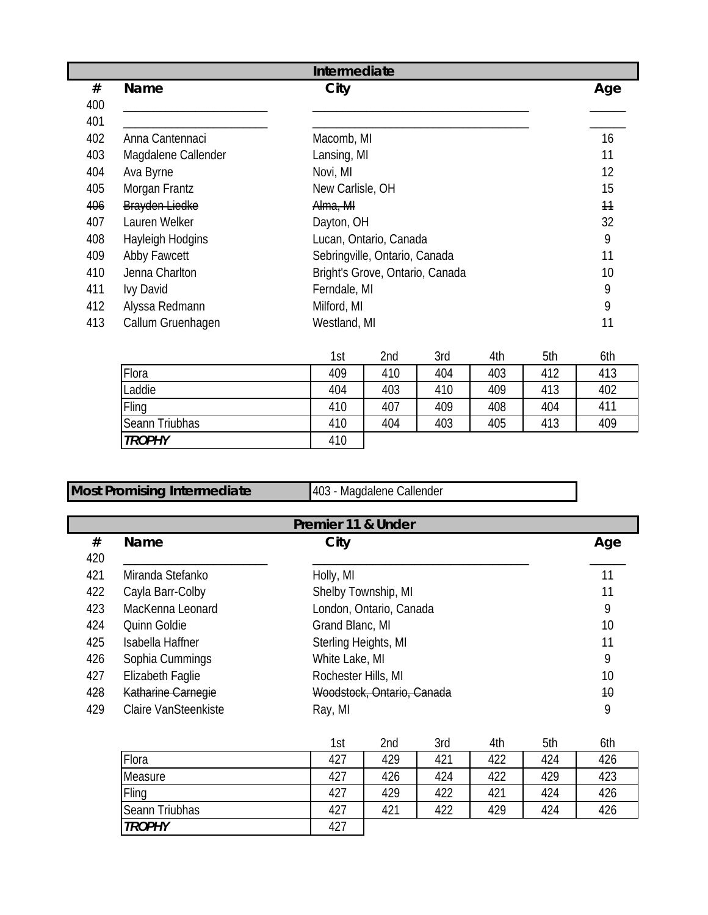|     |                     | Intermediate                    |     |
|-----|---------------------|---------------------------------|-----|
| #   | Name                | City                            | Age |
| 400 |                     |                                 |     |
| 401 |                     |                                 |     |
| 402 | Anna Cantennaci     | Macomb, MI                      | 16  |
| 403 | Magdalene Callender | Lansing, MI                     | 11  |
| 404 | Ava Byrne           | Novi, MI                        | 12  |
| 405 | Morgan Frantz       | New Carlisle, OH                | 15  |
| 406 | Brayden Liedke      | Alma, MI                        | 11  |
| 407 | Lauren Welker       | Dayton, OH                      | 32  |
| 408 | Hayleigh Hodgins    | Lucan, Ontario, Canada          | 9   |
| 409 | Abby Fawcett        | Sebringville, Ontario, Canada   | 11  |
| 410 | Jenna Charlton      | Bright's Grove, Ontario, Canada | 10  |
| 411 | Ivy David           | Ferndale, MI                    | 9   |
| 412 | Alyssa Redmann      | Milford, MI                     | 9   |
| 413 | Callum Gruenhagen   | Westland, MI                    | 11  |

|                | 1st | 2nd | 3rd | 4th | 5th | 6th |
|----------------|-----|-----|-----|-----|-----|-----|
| Flora          | 409 | 410 | 404 | 403 | 412 | 413 |
| Laddie         | 404 | 403 | 410 | 409 | 413 | 402 |
| Fling          | 410 | 407 | 409 | 408 | 404 | 411 |
| Seann Triubhas | 410 | 404 | 403 | 405 | 413 | 409 |
| <b>TROPHY</b>  | 410 |     |     |     |     |     |

Most Promising Intermediate 403 - Magdalene Callender

| Premier 11 & Under |                             |                            |     |  |  |  |
|--------------------|-----------------------------|----------------------------|-----|--|--|--|
| #                  | <b>Name</b>                 | City                       | Age |  |  |  |
| 420                |                             |                            |     |  |  |  |
| 421                | Miranda Stefanko            | Holly, MI                  |     |  |  |  |
| 422                | Cayla Barr-Colby            | Shelby Township, MI        |     |  |  |  |
| 423                | MacKenna Leonard            | London, Ontario, Canada    | 9   |  |  |  |
| 424                | Quinn Goldie                | Grand Blanc, MI            | 10  |  |  |  |
| 425                | Isabella Haffner            | Sterling Heights, MI       | 11  |  |  |  |
| 426                | Sophia Cummings             | White Lake, MI             | 9   |  |  |  |
| 427                | Elizabeth Faglie            | Rochester Hills, MI        | 10  |  |  |  |
| 428                | Katharine Carnegie          | Woodstock, Ontario, Canada | 10  |  |  |  |
| 429                | <b>Claire VanSteenkiste</b> | Ray, MI                    | 9   |  |  |  |

|                | 1st | 2nd | 3rd | 4th | 5th | 6th |
|----------------|-----|-----|-----|-----|-----|-----|
| Flora          | 427 | 429 | 421 | 422 | 424 | 426 |
| Measure        | 427 | 426 | 424 | 422 | 429 | 423 |
| Fling          | 427 | 429 | 422 | 421 | 424 | 426 |
| Seann Triubhas | 427 | 421 | 422 | 429 | 424 | 426 |
| <b>TROPHY</b>  | 427 |     |     |     |     |     |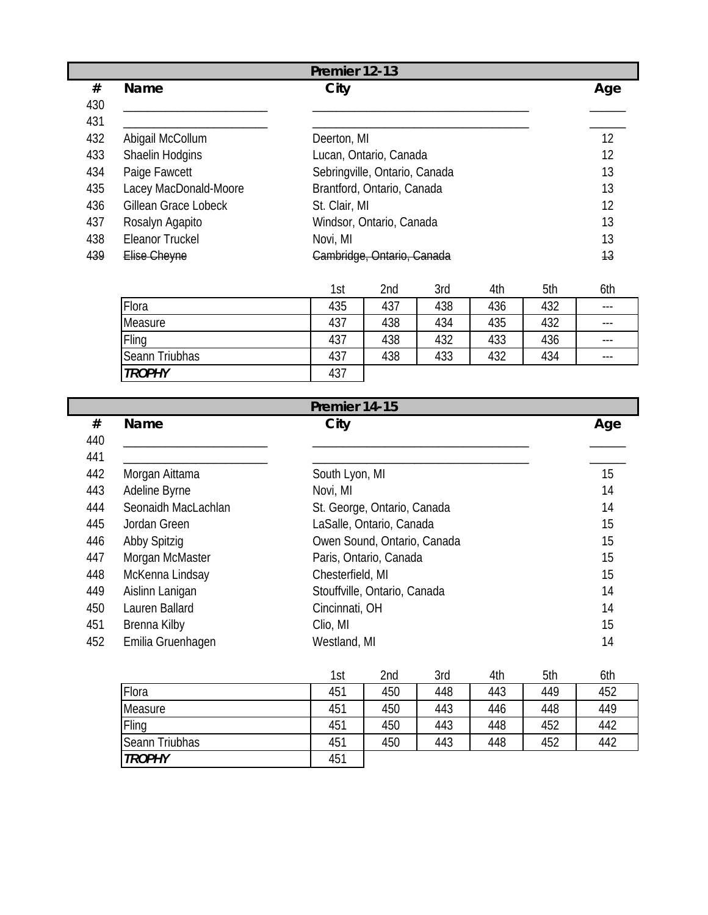|     |                       | Premier 12-13                         |     |
|-----|-----------------------|---------------------------------------|-----|
| #   | <b>Name</b>           | City                                  | Age |
| 430 |                       |                                       |     |
| 431 |                       |                                       |     |
| 432 | Abigail McCollum      | Deerton, MI                           | 12  |
| 433 | Shaelin Hodgins       | Lucan, Ontario, Canada                | 12  |
| 434 | Paige Fawcett         | Sebringville, Ontario, Canada         | 13  |
| 435 | Lacey MacDonald-Moore | Brantford, Ontario, Canada            | 13  |
| 436 | Gillean Grace Lobeck  | St. Clair, MI                         | 12  |
| 437 | Rosalyn Agapito       | Windsor, Ontario, Canada              | 13  |
| 438 | Eleanor Truckel       | Novi, MI                              | 13  |
| 439 | Elise Cheyne          | <del>Cambridge, Ontario, Canada</del> | 43  |

|                | 1st | 2nd | 3rd | 4th | 5th | 6th   |
|----------------|-----|-----|-----|-----|-----|-------|
| Flora          | 435 | 437 | 438 | 436 | 432 | $---$ |
| Measure        | 437 | 438 | 434 | 435 | 432 | $---$ |
| Fling          | 437 | 438 | 432 | 433 | 436 | $---$ |
| Seann Triubhas | 437 | 438 | 433 | 432 | 434 | $---$ |
| <b>TROPHY</b>  | 437 |     |     |     |     |       |

|     | Premier 14-15       |                              |     |  |  |  |  |
|-----|---------------------|------------------------------|-----|--|--|--|--|
| #   | Name                | City                         | Age |  |  |  |  |
| 440 |                     |                              |     |  |  |  |  |
| 441 |                     |                              |     |  |  |  |  |
| 442 | Morgan Aittama      | South Lyon, MI               | 15  |  |  |  |  |
| 443 | Adeline Byrne       | Novi, MI                     | 14  |  |  |  |  |
| 444 | Seonaidh MacLachlan | St. George, Ontario, Canada  | 14  |  |  |  |  |
| 445 | Jordan Green        | LaSalle, Ontario, Canada     | 15  |  |  |  |  |
| 446 | Abby Spitzig        | Owen Sound, Ontario, Canada  | 15  |  |  |  |  |
| 447 | Morgan McMaster     | Paris, Ontario, Canada       | 15  |  |  |  |  |
| 448 | McKenna Lindsay     | Chesterfield, MI             | 15  |  |  |  |  |
| 449 | Aislinn Lanigan     | Stouffville, Ontario, Canada | 14  |  |  |  |  |
| 450 | Lauren Ballard      | Cincinnati, OH               | 14  |  |  |  |  |
| 451 | Brenna Kilby        | Clio, MI                     | 15  |  |  |  |  |
| 452 | Emilia Gruenhagen   | Westland, MI                 | 14  |  |  |  |  |

|                       | 1st | 2nd | 3rd | 4th | 5th | 6th |
|-----------------------|-----|-----|-----|-----|-----|-----|
| Flora                 | 451 | 450 | 448 | 443 | 449 | 452 |
| Measure               | 451 | 450 | 443 | 446 | 448 | 449 |
| Fling                 | 451 | 450 | 443 | 448 | 452 | 442 |
| <b>Seann Triubhas</b> | 451 | 450 | 443 | 448 | 452 | 442 |
| <b>TROPHY</b>         | 451 |     |     |     |     |     |